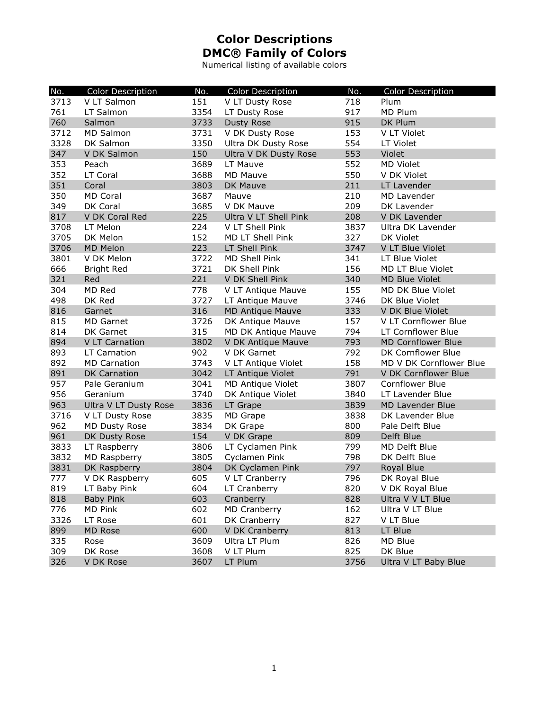Numerical listing of available colors

| No.  | Color Description     | No.  | Color Description          | No.  | Color Description         |
|------|-----------------------|------|----------------------------|------|---------------------------|
| 3713 | V LT Salmon           | 151  | V LT Dusty Rose            | 718  | Plum                      |
| 761  | LT Salmon             | 3354 | LT Dusty Rose              | 917  | MD Plum                   |
| 760  | Salmon                | 3733 | <b>Dusty Rose</b>          | 915  | DK Plum                   |
| 3712 | <b>MD Salmon</b>      | 3731 | V DK Dusty Rose            | 153  | V LT Violet               |
| 3328 | DK Salmon             | 3350 | <b>Ultra DK Dusty Rose</b> | 554  | LT Violet                 |
| 347  | V DK Salmon           | 150  | Ultra V DK Dusty Rose      | 553  | Violet                    |
| 353  | Peach                 | 3689 | LT Mauve                   | 552  | <b>MD Violet</b>          |
| 352  | LT Coral              | 3688 | <b>MD Mauve</b>            | 550  | V DK Violet               |
| 351  | Coral                 | 3803 | DK Mauve                   | 211  | LT Lavender               |
| 350  | <b>MD Coral</b>       | 3687 | Mauve                      | 210  | MD Lavender               |
| 349  | DK Coral              | 3685 | V DK Mauve                 | 209  | DK Lavender               |
| 817  | V DK Coral Red        | 225  | Ultra V LT Shell Pink      | 208  | V DK Lavender             |
| 3708 | LT Melon              | 224  | V LT Shell Pink            | 3837 | Ultra DK Lavender         |
| 3705 | DK Melon              | 152  | MD LT Shell Pink           | 327  | DK Violet                 |
| 3706 | <b>MD Melon</b>       | 223  | LT Shell Pink              | 3747 | V LT Blue Violet          |
| 3801 | V DK Melon            | 3722 | MD Shell Pink              | 341  | LT Blue Violet            |
| 666  | <b>Bright Red</b>     | 3721 | DK Shell Pink              | 156  | MD LT Blue Violet         |
| 321  | Red                   | 221  | V DK Shell Pink            | 340  | <b>MD Blue Violet</b>     |
| 304  | MD Red                | 778  | V LT Antique Mauve         | 155  | MD DK Blue Violet         |
| 498  | DK Red                | 3727 | LT Antique Mauve           | 3746 | DK Blue Violet            |
| 816  | Garnet                | 316  | <b>MD Antique Mauve</b>    | 333  | V DK Blue Violet          |
| 815  | <b>MD Garnet</b>      | 3726 | DK Antique Mauve           | 157  | V LT Cornflower Blue      |
| 814  | DK Garnet             | 315  | MD DK Antique Mauve        | 794  | LT Cornflower Blue        |
| 894  | V LT Carnation        | 3802 | V DK Antique Mauve         | 793  | <b>MD Cornflower Blue</b> |
| 893  | LT Carnation          | 902  | V DK Garnet                | 792  | DK Cornflower Blue        |
| 892  | <b>MD Carnation</b>   | 3743 | V LT Antique Violet        | 158  | MD V DK Cornflower Blue   |
| 891  | <b>DK Carnation</b>   | 3042 | LT Antique Violet          | 791  | V DK Cornflower Blue      |
| 957  | Pale Geranium         | 3041 | MD Antique Violet          | 3807 | Cornflower Blue           |
| 956  | Geranium              | 3740 | DK Antique Violet          | 3840 | LT Lavender Blue          |
| 963  | Ultra V LT Dusty Rose | 3836 | LT Grape                   | 3839 | <b>MD Lavender Blue</b>   |
| 3716 | V LT Dusty Rose       | 3835 | MD Grape                   | 3838 | DK Lavender Blue          |
| 962  | MD Dusty Rose         | 3834 | DK Grape                   | 800  | Pale Delft Blue           |
| 961  | DK Dusty Rose         | 154  | V DK Grape                 | 809  | Delft Blue                |
| 3833 | LT Raspberry          | 3806 | LT Cyclamen Pink           | 799  | MD Delft Blue             |
| 3832 | MD Raspberry          | 3805 | Cyclamen Pink              | 798  | DK Delft Blue             |
| 3831 | DK Raspberry          | 3804 | DK Cyclamen Pink           | 797  | Royal Blue                |
| 777  | V DK Raspberry        | 605  | V LT Cranberry             | 796  | DK Royal Blue             |
| 819  | LT Baby Pink          | 604  | LT Cranberry               | 820  | V DK Royal Blue           |
| 818  | <b>Baby Pink</b>      | 603  | Cranberry                  | 828  | Ultra V V LT Blue         |
| 776  | MD Pink               | 602  | <b>MD Cranberry</b>        | 162  | Ultra V LT Blue           |
| 3326 | LT Rose               | 601  | DK Cranberry               | 827  | V LT Blue                 |
| 899  | MD Rose               | 600  | V DK Cranberry             | 813  | LT Blue                   |
| 335  | Rose                  | 3609 | Ultra LT Plum              | 826  | MD Blue                   |
| 309  | DK Rose               | 3608 | V LT Plum                  | 825  | DK Blue                   |
| 326  | V DK Rose             | 3607 | LT Plum                    | 3756 | Ultra V LT Baby Blue      |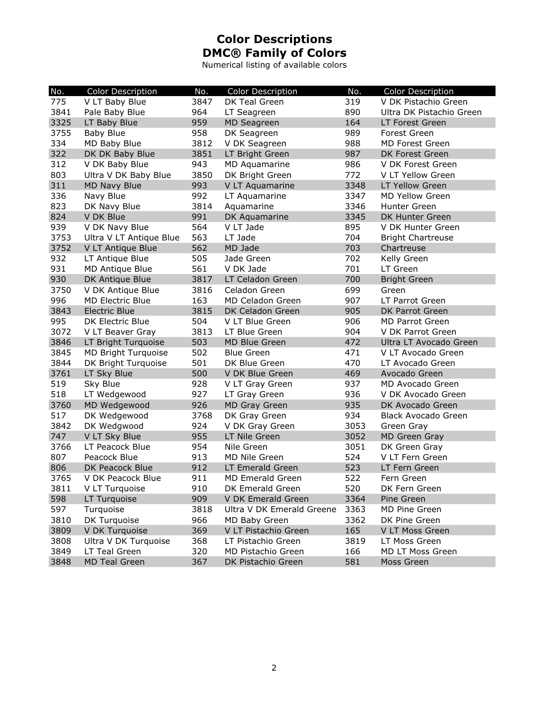Numerical listing of available colors

| No.  | Color Description       | No.  | <b>Color Description</b>  | No.  | <b>Color Description</b> |
|------|-------------------------|------|---------------------------|------|--------------------------|
| 775  | V LT Baby Blue          | 3847 | DK Teal Green             | 319  | V DK Pistachio Green     |
| 3841 | Pale Baby Blue          | 964  | LT Seagreen               | 890  | Ultra DK Pistachio Green |
| 3325 | LT Baby Blue            | 959  | <b>MD Seagreen</b>        | 164  | LT Forest Green          |
| 3755 | <b>Baby Blue</b>        | 958  | DK Seagreen               | 989  | Forest Green             |
| 334  | MD Baby Blue            | 3812 | V DK Seagreen             | 988  | MD Forest Green          |
| 322  | DK DK Baby Blue         | 3851 | LT Bright Green           | 987  | DK Forest Green          |
| 312  | V DK Baby Blue          | 943  | MD Aquamarine             | 986  | V DK Forest Green        |
| 803  | Ultra V DK Baby Blue    | 3850 | DK Bright Green           | 772  | V LT Yellow Green        |
| 311  | <b>MD Navy Blue</b>     | 993  | V LT Aquamarine           | 3348 | LT Yellow Green          |
| 336  | Navy Blue               | 992  | LT Aquamarine             | 3347 | <b>MD Yellow Green</b>   |
| 823  | DK Navy Blue            | 3814 | Aquamarine                | 3346 | Hunter Green             |
| 824  | V DK Blue               | 991  | DK Aquamarine             | 3345 | DK Hunter Green          |
| 939  | V DK Navy Blue          | 564  | V LT Jade                 | 895  | V DK Hunter Green        |
| 3753 | Ultra V LT Antique Blue | 563  | LT Jade                   | 704  | <b>Bright Chartreuse</b> |
| 3752 | V LT Antique Blue       | 562  | MD Jade                   | 703  | Chartreuse               |
| 932  | LT Antique Blue         | 505  | Jade Green                | 702  | Kelly Green              |
| 931  | MD Antique Blue         | 561  | V DK Jade                 | 701  | LT Green                 |
| 930  | DK Antique Blue         | 3817 | LT Celadon Green          | 700  | <b>Bright Green</b>      |
| 3750 | V DK Antique Blue       | 3816 | Celadon Green             | 699  | Green                    |
| 996  | <b>MD Electric Blue</b> | 163  | MD Celadon Green          | 907  | LT Parrot Green          |
| 3843 | <b>Electric Blue</b>    | 3815 | DK Celadon Green          | 905  | DK Parrot Green          |
| 995  | DK Electric Blue        | 504  | V LT Blue Green           | 906  | <b>MD Parrot Green</b>   |
| 3072 | V LT Beaver Gray        | 3813 | LT Blue Green             | 904  | V DK Parrot Green        |
| 3846 | LT Bright Turquoise     | 503  | MD Blue Green             | 472  | Ultra LT Avocado Green   |
| 3845 | MD Bright Turquoise     | 502  | <b>Blue Green</b>         | 471  | V LT Avocado Green       |
| 3844 | DK Bright Turquoise     | 501  | DK Blue Green             | 470  | LT Avocado Green         |
| 3761 | LT Sky Blue             | 500  | V DK Blue Green           | 469  | Avocado Green            |
| 519  | Sky Blue                | 928  | V LT Gray Green           | 937  | MD Avocado Green         |
| 518  | LT Wedgewood            | 927  | LT Gray Green             | 936  | V DK Avocado Green       |
| 3760 | MD Wedgewood            | 926  | <b>MD Gray Green</b>      | 935  | DK Avocado Green         |
| 517  | DK Wedgewood            | 3768 | DK Gray Green             | 934  | Black Avocado Green      |
| 3842 | DK Wedgwood             | 924  | V DK Gray Green           | 3053 | Green Gray               |
| 747  | V LT Sky Blue           | 955  | LT Nile Green             | 3052 | MD Green Gray            |
| 3766 | LT Peacock Blue         | 954  | Nile Green                | 3051 | DK Green Gray            |
| 807  | Peacock Blue            | 913  | MD Nile Green             | 524  | V LT Fern Green          |
| 806  | DK Peacock Blue         | 912  | LT Emerald Green          | 523  | LT Fern Green            |
| 3765 | V DK Peacock Blue       | 911  | MD Emerald Green          | 522  | Fern Green               |
| 3811 | V LT Turquoise          | 910  | DK Emerald Green          | 520  | DK Fern Green            |
| 598  | LT Turquoise            | 909  | V DK Emerald Green        | 3364 | Pine Green               |
| 597  | Turquoise               | 3818 | Ultra V DK Emerald Greene | 3363 | MD Pine Green            |
| 3810 | DK Turquoise            | 966  | MD Baby Green             | 3362 | DK Pine Green            |
| 3809 | V DK Turquoise          | 369  | V LT Pistachio Green      | 165  | V LT Moss Green          |
| 3808 | Ultra V DK Turquoise    | 368  | LT Pistachio Green        | 3819 | LT Moss Green            |
| 3849 | LT Teal Green           | 320  | MD Pistachio Green        | 166  | MD LT Moss Green         |
| 3848 | <b>MD Teal Green</b>    | 367  | DK Pistachio Green        | 581  | Moss Green               |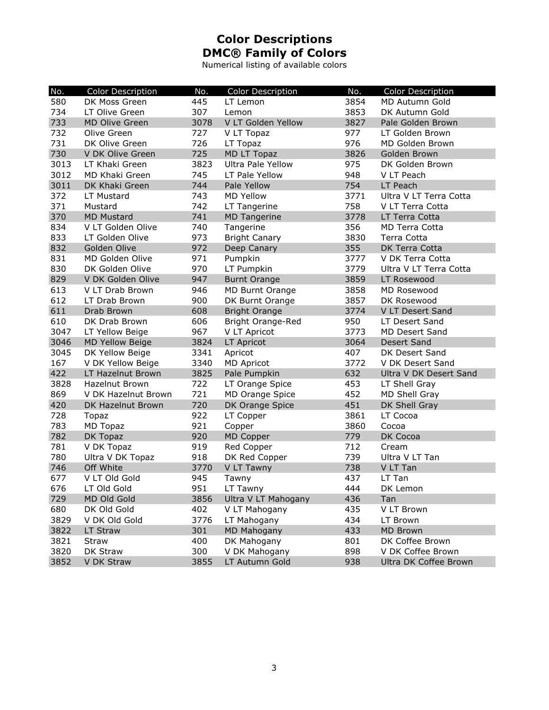Numerical listing of available colors

| No.  | Color Description      | No.  | Color Description        | No.  | Color Description      |
|------|------------------------|------|--------------------------|------|------------------------|
| 580  | DK Moss Green          | 445  | LT Lemon                 | 3854 | MD Autumn Gold         |
| 734  | LT Olive Green         | 307  | Lemon                    | 3853 | DK Autumn Gold         |
| 733  | <b>MD Olive Green</b>  | 3078 | V LT Golden Yellow       | 3827 | Pale Golden Brown      |
| 732  | Olive Green            | 727  | V LT Topaz               | 977  | LT Golden Brown        |
| 731  | DK Olive Green         | 726  | LT Topaz                 | 976  | MD Golden Brown        |
| 730  | V DK Olive Green       | 725  | MD LT Topaz              | 3826 | Golden Brown           |
| 3013 | LT Khaki Green         | 3823 | Ultra Pale Yellow        | 975  | DK Golden Brown        |
| 3012 | MD Khaki Green         | 745  | LT Pale Yellow           | 948  | V LT Peach             |
| 3011 | DK Khaki Green         | 744  | Pale Yellow              | 754  | LT Peach               |
| 372  | LT Mustard             | 743  | <b>MD Yellow</b>         | 3771 | Ultra V LT Terra Cotta |
| 371  | Mustard                | 742  | LT Tangerine             | 758  | V LT Terra Cotta       |
| 370  | <b>MD Mustard</b>      | 741  | <b>MD Tangerine</b>      | 3778 | LT Terra Cotta         |
| 834  | V LT Golden Olive      | 740  | Tangerine                | 356  | <b>MD Terra Cotta</b>  |
| 833  | LT Golden Olive        | 973  | <b>Bright Canary</b>     | 3830 | Terra Cotta            |
| 832  | Golden Olive           | 972  | Deep Canary              | 355  | DK Terra Cotta         |
| 831  | MD Golden Olive        | 971  | Pumpkin                  | 3777 | V DK Terra Cotta       |
| 830  | DK Golden Olive        | 970  | LT Pumpkin               | 3779 | Ultra V LT Terra Cotta |
| 829  | V DK Golden Olive      | 947  | <b>Burnt Orange</b>      | 3859 | LT Rosewood            |
| 613  | V LT Drab Brown        | 946  | <b>MD Burnt Orange</b>   | 3858 | MD Rosewood            |
| 612  | LT Drab Brown          | 900  | DK Burnt Orange          | 3857 | DK Rosewood            |
| 611  | Drab Brown             | 608  | <b>Bright Orange</b>     | 3774 | V LT Desert Sand       |
| 610  | DK Drab Brown          | 606  | <b>Bright Orange-Red</b> | 950  | LT Desert Sand         |
| 3047 | LT Yellow Beige        | 967  | V LT Apricot             | 3773 | <b>MD Desert Sand</b>  |
| 3046 | <b>MD Yellow Beige</b> | 3824 | LT Apricot               | 3064 | Desert Sand            |
| 3045 | DK Yellow Beige        | 3341 | Apricot                  | 407  | DK Desert Sand         |
| 167  | V DK Yellow Beige      | 3340 | <b>MD Apricot</b>        | 3772 | V DK Desert Sand       |
| 422  | LT Hazelnut Brown      | 3825 | Pale Pumpkin             | 632  | Ultra V DK Desert Sand |
| 3828 | <b>Hazelnut Brown</b>  | 722  | LT Orange Spice          | 453  | LT Shell Gray          |
| 869  | V DK Hazelnut Brown    | 721  | MD Orange Spice          | 452  | MD Shell Gray          |
| 420  | DK Hazelnut Brown      | 720  | DK Orange Spice          | 451  | DK Shell Gray          |
| 728  | Topaz                  | 922  | LT Copper                | 3861 | LT Cocoa               |
| 783  | MD Topaz               | 921  | Copper                   | 3860 | Cocoa                  |
| 782  | DK Topaz               | 920  | MD Copper                | 779  | DK Cocoa               |
| 781  | V DK Topaz             | 919  | Red Copper               | 712  | Cream                  |
| 780  | Ultra V DK Topaz       | 918  | DK Red Copper            | 739  | Ultra V LT Tan         |
| 746  | Off White              | 3770 | V LT Tawny               | 738  | V LT Tan               |
| 677  | V LT Old Gold          | 945  | Tawny                    | 437  | LT Tan                 |
| 676  | LT Old Gold            | 951  | LT Tawny                 | 444  | DK Lemon               |
| 729  | MD Old Gold            | 3856 | Ultra V LT Mahogany      | 436  | Tan                    |
| 680  | DK Old Gold            | 402  | V LT Mahogany            | 435  | V LT Brown             |
| 3829 | V DK Old Gold          | 3776 | LT Mahogany              | 434  | LT Brown               |
| 3822 | LT Straw               | 301  | MD Mahogany              | 433  | <b>MD Brown</b>        |
| 3821 | Straw                  | 400  | DK Mahogany              | 801  | DK Coffee Brown        |
| 3820 | DK Straw               | 300  | V DK Mahogany            | 898  | V DK Coffee Brown      |
| 3852 | V DK Straw             | 3855 | LT Autumn Gold           | 938  | Ultra DK Coffee Brown  |
|      |                        |      |                          |      |                        |